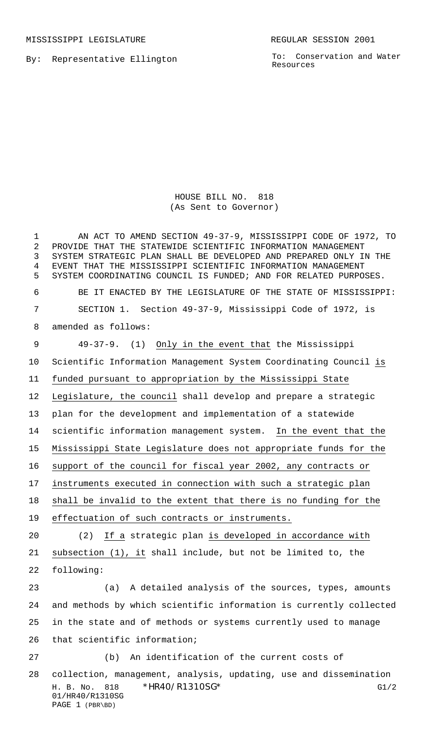MISSISSIPPI LEGISLATURE **REGULAR SESSION 2001** 

By: Representative Ellington

To: Conservation and Water Resources

## HOUSE BILL NO. 818 (As Sent to Governor)

H. B. No. 818 \* HR40/R1310SG\* G1/2 01/HR40/R1310SG PAGE 1 (PBR\BD) AN ACT TO AMEND SECTION 49-37-9, MISSISSIPPI CODE OF 1972, TO PROVIDE THAT THE STATEWIDE SCIENTIFIC INFORMATION MANAGEMENT SYSTEM STRATEGIC PLAN SHALL BE DEVELOPED AND PREPARED ONLY IN THE EVENT THAT THE MISSISSIPPI SCIENTIFIC INFORMATION MANAGEMENT SYSTEM COORDINATING COUNCIL IS FUNDED; AND FOR RELATED PURPOSES. BE IT ENACTED BY THE LEGISLATURE OF THE STATE OF MISSISSIPPI: SECTION 1. Section 49-37-9, Mississippi Code of 1972, is amended as follows: 9 49-37-9. (1) Only in the event that the Mississippi Scientific Information Management System Coordinating Council is funded pursuant to appropriation by the Mississippi State Legislature, the council shall develop and prepare a strategic plan for the development and implementation of a statewide 14 scientific information management system. In the event that the Mississippi State Legislature does not appropriate funds for the support of the council for fiscal year 2002, any contracts or instruments executed in connection with such a strategic plan shall be invalid to the extent that there is no funding for the effectuation of such contracts or instruments. 20 (2) If a strategic plan is developed in accordance with 21 subsection (1), it shall include, but not be limited to, the following: (a) A detailed analysis of the sources, types, amounts and methods by which scientific information is currently collected in the state and of methods or systems currently used to manage that scientific information; (b) An identification of the current costs of collection, management, analysis, updating, use and dissemination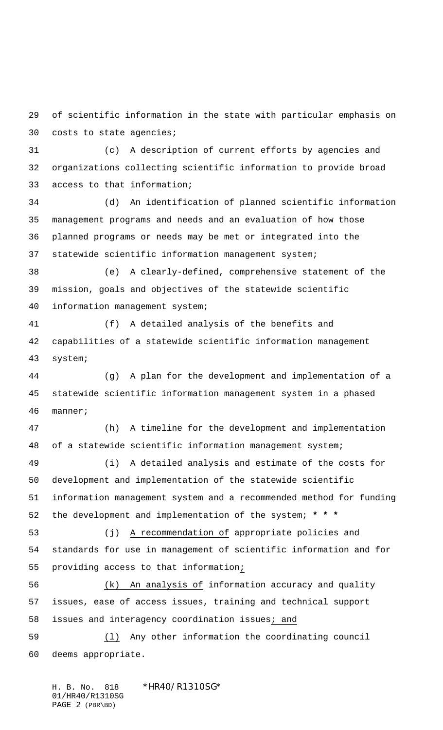of scientific information in the state with particular emphasis on costs to state agencies;

 (c) A description of current efforts by agencies and organizations collecting scientific information to provide broad access to that information;

 (d) An identification of planned scientific information management programs and needs and an evaluation of how those planned programs or needs may be met or integrated into the statewide scientific information management system;

 (e) A clearly-defined, comprehensive statement of the mission, goals and objectives of the statewide scientific information management system;

 (f) A detailed analysis of the benefits and capabilities of a statewide scientific information management system;

 (g) A plan for the development and implementation of a statewide scientific information management system in a phased manner;

 (h) A timeline for the development and implementation of a statewide scientific information management system; (i) A detailed analysis and estimate of the costs for development and implementation of the statewide scientific

 information management system and a recommended method for funding the development and implementation of the system; **\* \* \***

 (j) A recommendation of appropriate policies and standards for use in management of scientific information and for providing access to that information;

 (k) An analysis of information accuracy and quality issues, ease of access issues, training and technical support issues and interagency coordination issues; and

 (l) Any other information the coordinating council deems appropriate.

H. B. No. 818 \*HR40/R1310SG\* 01/HR40/R1310SG PAGE 2 (PBR\BD)